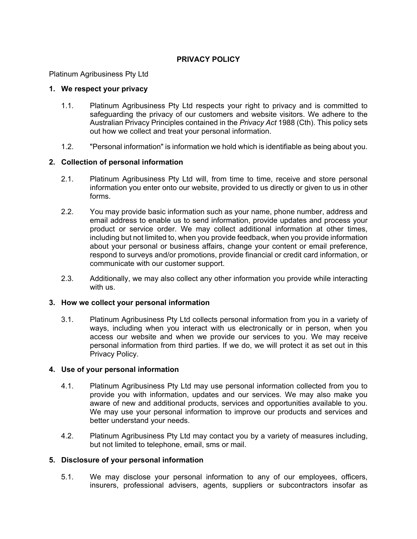# **PRIVACY POLICY**

Platinum Agribusiness Pty Ltd

## **1. We respect your privacy**

- 1.1. Platinum Agribusiness Pty Ltd respects your right to privacy and is committed to safeguarding the privacy of our customers and website visitors. We adhere to the Australian Privacy Principles contained in the *Privacy Act* 1988 (Cth). This policy sets out how we collect and treat your personal information.
- 1.2. "Personal information" is information we hold which is identifiable as being about you.

## **2. Collection of personal information**

- 2.1. Platinum Agribusiness Pty Ltd will, from time to time, receive and store personal information you enter onto our website, provided to us directly or given to us in other forms.
- 2.2. You may provide basic information such as your name, phone number, address and email address to enable us to send information, provide updates and process your product or service order. We may collect additional information at other times, including but not limited to, when you provide feedback, when you provide information about your personal or business affairs, change your content or email preference, respond to surveys and/or promotions, provide financial or credit card information, or communicate with our customer support.
- 2.3. Additionally, we may also collect any other information you provide while interacting with us.

### **3. How we collect your personal information**

3.1. Platinum Agribusiness Pty Ltd collects personal information from you in a variety of ways, including when you interact with us electronically or in person, when you access our website and when we provide our services to you. We may receive personal information from third parties. If we do, we will protect it as set out in this Privacy Policy.

### **4. Use of your personal information**

- 4.1. Platinum Agribusiness Pty Ltd may use personal information collected from you to provide you with information, updates and our services. We may also make you aware of new and additional products, services and opportunities available to you. We may use your personal information to improve our products and services and better understand your needs.
- 4.2. Platinum Agribusiness Pty Ltd may contact you by a variety of measures including, but not limited to telephone, email, sms or mail.

### **5. Disclosure of your personal information**

5.1. We may disclose your personal information to any of our employees, officers, insurers, professional advisers, agents, suppliers or subcontractors insofar as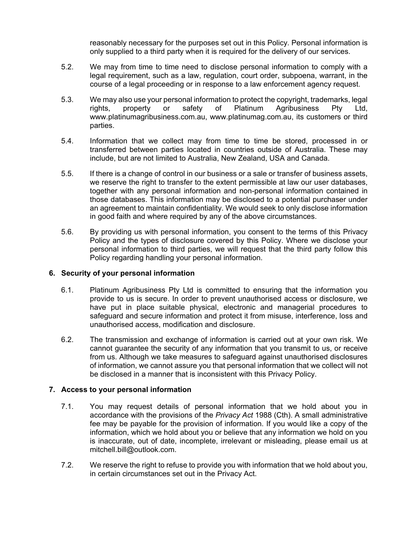reasonably necessary for the purposes set out in this Policy. Personal information is only supplied to a third party when it is required for the delivery of our services.

- 5.2. We may from time to time need to disclose personal information to comply with a legal requirement, such as a law, regulation, court order, subpoena, warrant, in the course of a legal proceeding or in response to a law enforcement agency request.
- 5.3. We may also use your personal information to protect the copyright, trademarks, legal rights, property or safety of Platinum Agribusiness Pty Ltd, www.platinumagribusiness.com.au, www.platinumag.com.au, its customers or third parties.
- 5.4. Information that we collect may from time to time be stored, processed in or transferred between parties located in countries outside of Australia. These may include, but are not limited to Australia, New Zealand, USA and Canada.
- 5.5. If there is a change of control in our business or a sale or transfer of business assets, we reserve the right to transfer to the extent permissible at law our user databases, together with any personal information and non-personal information contained in those databases. This information may be disclosed to a potential purchaser under an agreement to maintain confidentiality. We would seek to only disclose information in good faith and where required by any of the above circumstances.
- 5.6. By providing us with personal information, you consent to the terms of this Privacy Policy and the types of disclosure covered by this Policy. Where we disclose your personal information to third parties, we will request that the third party follow this Policy regarding handling your personal information.

## **6. Security of your personal information**

- 6.1. Platinum Agribusiness Pty Ltd is committed to ensuring that the information you provide to us is secure. In order to prevent unauthorised access or disclosure, we have put in place suitable physical, electronic and managerial procedures to safeguard and secure information and protect it from misuse, interference, loss and unauthorised access, modification and disclosure.
- 6.2. The transmission and exchange of information is carried out at your own risk. We cannot guarantee the security of any information that you transmit to us, or receive from us. Although we take measures to safeguard against unauthorised disclosures of information, we cannot assure you that personal information that we collect will not be disclosed in a manner that is inconsistent with this Privacy Policy.

## **7. Access to your personal information**

- 7.1. You may request details of personal information that we hold about you in accordance with the provisions of the *Privacy Act* 1988 (Cth). A small administrative fee may be payable for the provision of information. If you would like a copy of the information, which we hold about you or believe that any information we hold on you is inaccurate, out of date, incomplete, irrelevant or misleading, please email us at mitchell.bill@outlook.com.
- 7.2. We reserve the right to refuse to provide you with information that we hold about you, in certain circumstances set out in the Privacy Act.